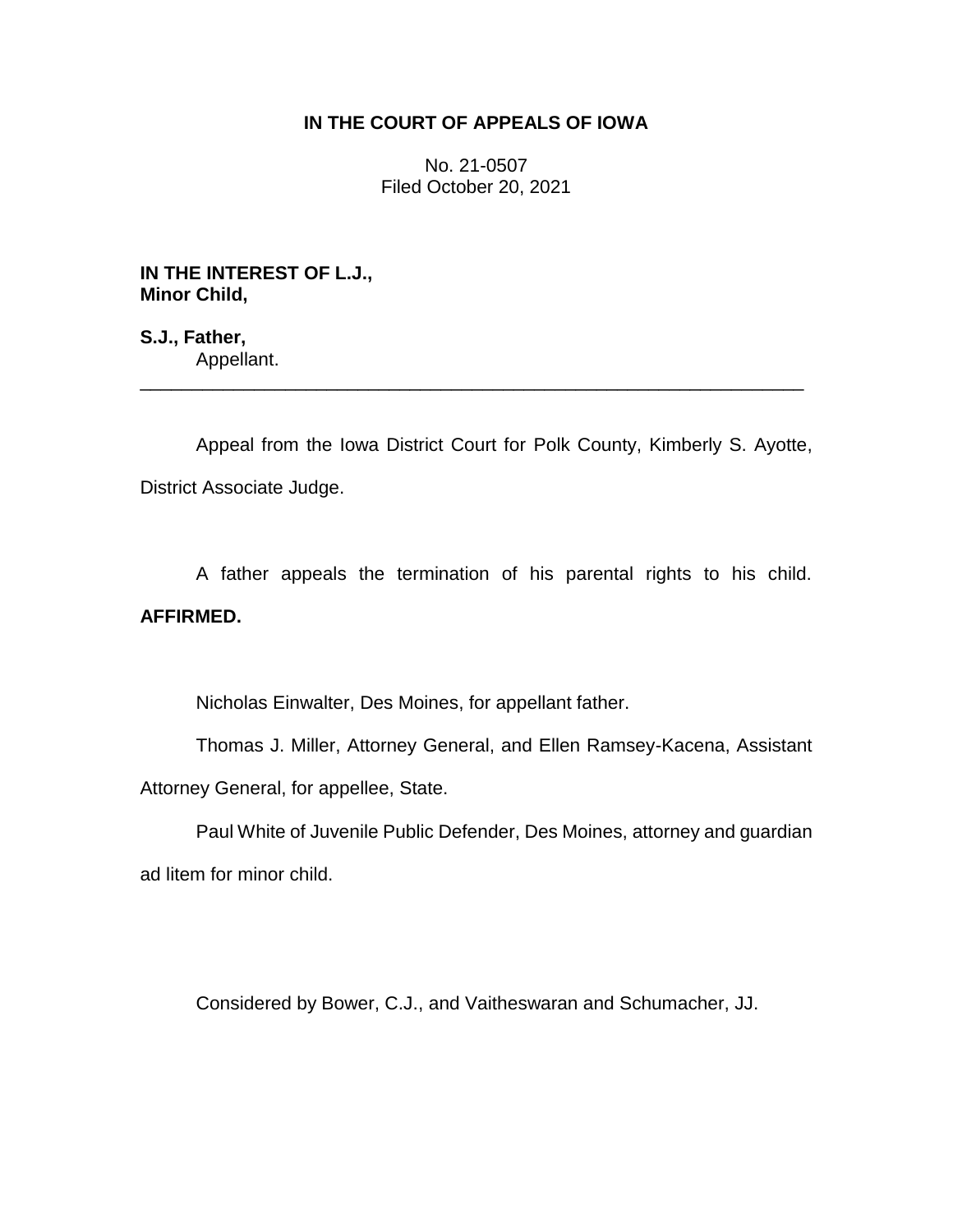## **IN THE COURT OF APPEALS OF IOWA**

No. 21-0507 Filed October 20, 2021

**IN THE INTEREST OF L.J., Minor Child,**

**S.J., Father,** Appellant.

Appeal from the Iowa District Court for Polk County, Kimberly S. Ayotte, District Associate Judge.

\_\_\_\_\_\_\_\_\_\_\_\_\_\_\_\_\_\_\_\_\_\_\_\_\_\_\_\_\_\_\_\_\_\_\_\_\_\_\_\_\_\_\_\_\_\_\_\_\_\_\_\_\_\_\_\_\_\_\_\_\_\_\_\_

A father appeals the termination of his parental rights to his child. **AFFIRMED.**

Nicholas Einwalter, Des Moines, for appellant father.

Thomas J. Miller, Attorney General, and Ellen Ramsey-Kacena, Assistant Attorney General, for appellee, State.

Paul White of Juvenile Public Defender, Des Moines, attorney and guardian ad litem for minor child.

Considered by Bower, C.J., and Vaitheswaran and Schumacher, JJ.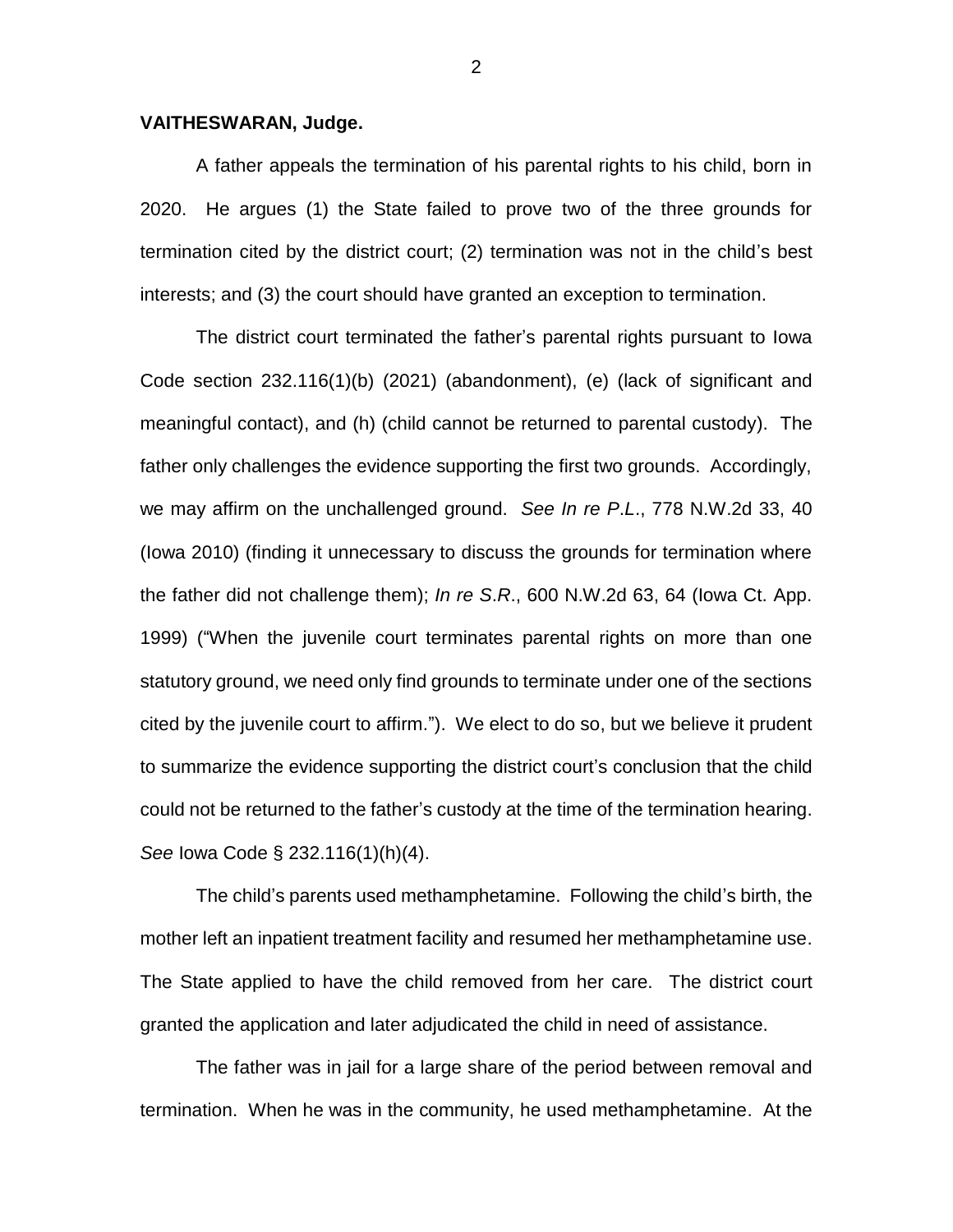## **VAITHESWARAN, Judge.**

A father appeals the termination of his parental rights to his child, born in 2020. He argues (1) the State failed to prove two of the three grounds for termination cited by the district court; (2) termination was not in the child's best interests; and (3) the court should have granted an exception to termination.

The district court terminated the father's parental rights pursuant to Iowa Code section 232.116(1)(b) (2021) (abandonment), (e) (lack of significant and meaningful contact), and (h) (child cannot be returned to parental custody). The father only challenges the evidence supporting the first two grounds. Accordingly, we may affirm on the unchallenged ground. *See In re P*.*L*., 778 N.W.2d 33, 40 (Iowa 2010) (finding it unnecessary to discuss the grounds for termination where the father did not challenge them); *In re S*.*R*., 600 N.W.2d 63, 64 (Iowa Ct. App. 1999) ("When the juvenile court terminates parental rights on more than one statutory ground, we need only find grounds to terminate under one of the sections cited by the juvenile court to affirm."). We elect to do so, but we believe it prudent to summarize the evidence supporting the district court's conclusion that the child could not be returned to the father's custody at the time of the termination hearing. *See* Iowa Code § 232.116(1)(h)(4).

The child's parents used methamphetamine. Following the child's birth, the mother left an inpatient treatment facility and resumed her methamphetamine use. The State applied to have the child removed from her care. The district court granted the application and later adjudicated the child in need of assistance.

The father was in jail for a large share of the period between removal and termination. When he was in the community, he used methamphetamine. At the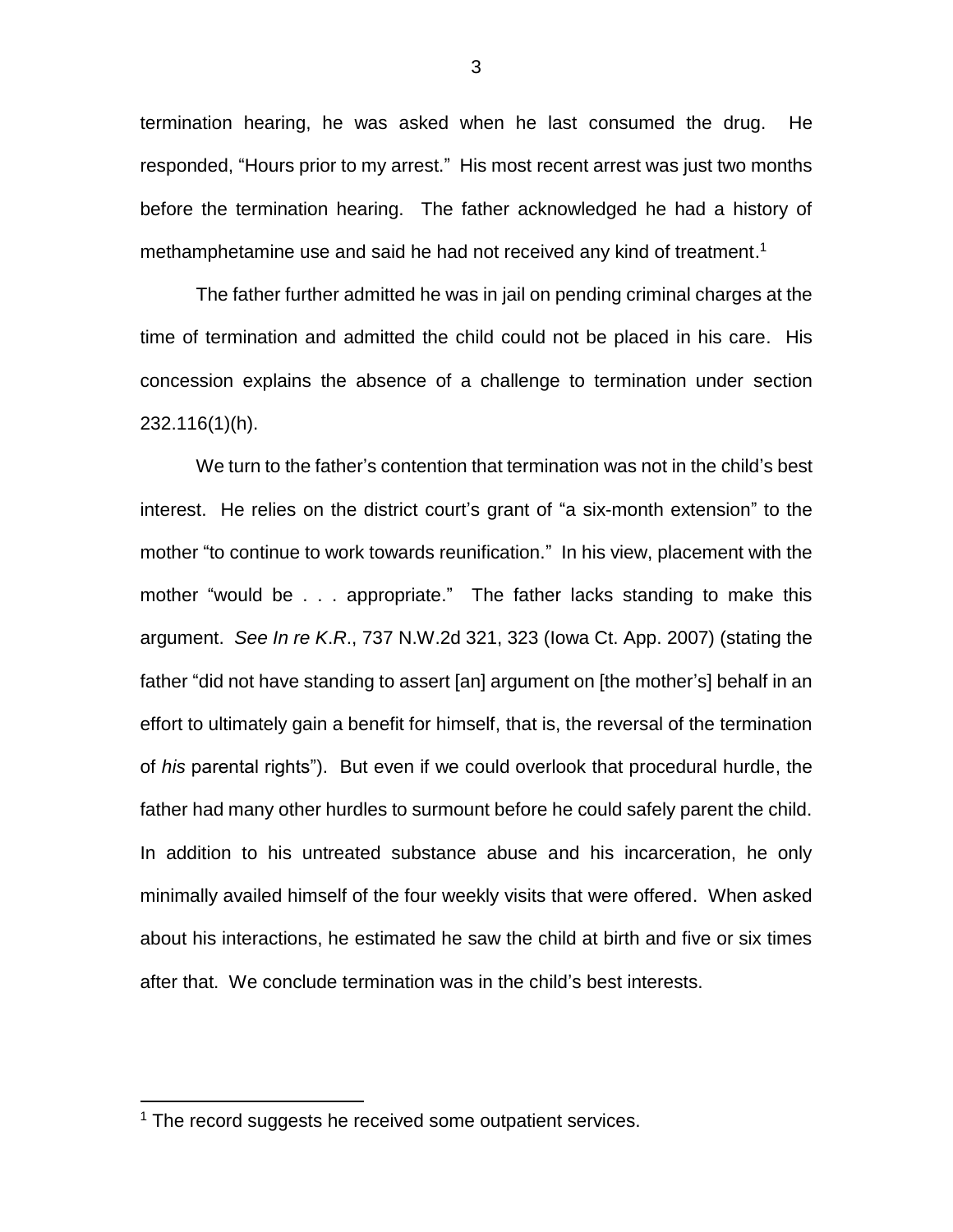termination hearing, he was asked when he last consumed the drug. He responded, "Hours prior to my arrest." His most recent arrest was just two months before the termination hearing. The father acknowledged he had a history of methamphetamine use and said he had not received any kind of treatment.<sup>1</sup>

The father further admitted he was in jail on pending criminal charges at the time of termination and admitted the child could not be placed in his care. His concession explains the absence of a challenge to termination under section 232.116(1)(h).

We turn to the father's contention that termination was not in the child's best interest. He relies on the district court's grant of "a six-month extension" to the mother "to continue to work towards reunification." In his view, placement with the mother "would be . . . appropriate." The father lacks standing to make this argument. *See In re K*.*R*., 737 N.W.2d 321, 323 (Iowa Ct. App. 2007) (stating the father "did not have standing to assert [an] argument on [the mother's] behalf in an effort to ultimately gain a benefit for himself, that is, the reversal of the termination of *his* parental rights"). But even if we could overlook that procedural hurdle, the father had many other hurdles to surmount before he could safely parent the child. In addition to his untreated substance abuse and his incarceration, he only minimally availed himself of the four weekly visits that were offered. When asked about his interactions, he estimated he saw the child at birth and five or six times after that. We conclude termination was in the child's best interests.

 $\overline{a}$ 

 $1$  The record suggests he received some outpatient services.